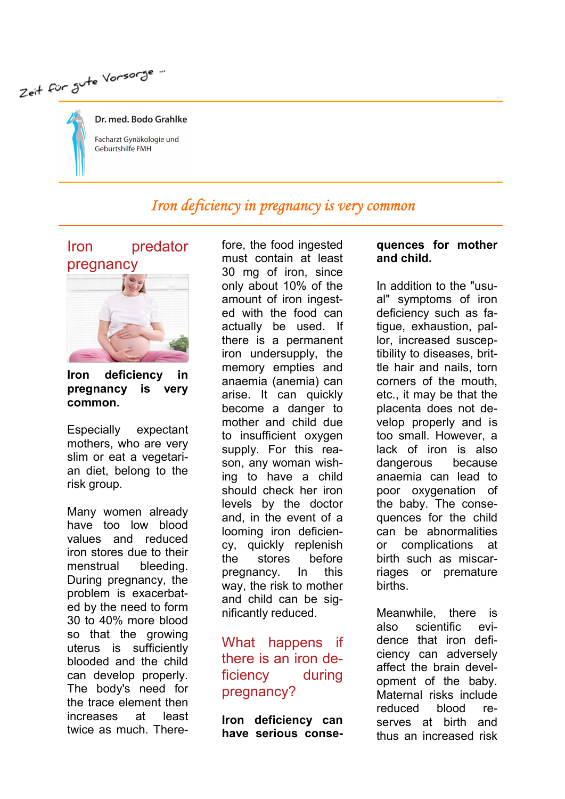Zeit für Jute Vorsorge...

Dr. med. Bodo Grahlke Facharzt Gynäkologie und Geburtshilfe FMH

# Iron deficiency in pregnancy is very common



Iron deficiency in pregnancy is very common.

Especially expectant mothers, who are very slim or eat a vegetarian diet, belong to the risk group.

Many women already have too low blood values and reduced iron stores due to their menstrual bleeding. During pregnancy, the problem is exacerbated by the need to form 30 to 40% more blood so that the growing uterus is sufficiently blooded and the child can develop properly. The body's need for the trace element then increases at least twice as much. Therefore, the food ingested must contain at least 30 mg of iron, since only about 10% of the amount of iron ingested with the food can actually be used. If there is a permanent iron undersupply, the memory empties and anaemia (anemia) can arise. It can quickly become a danger to mother and child due to insufficient oxygen supply. For this reason, any woman wishing to have a child should check her iron levels by the doctor and, in the event of a looming iron deficiency, quickly replenish the stores before pregnancy. In this way, the risk to mother and child can be significantly reduced.

### What happens if there is an iron deficiency during pregnancy?

Iron deficiency can have serious conse-

#### quences for mother and child.

In addition to the "usual" symptoms of iron deficiency such as fatigue, exhaustion, pallor, increased susceptibility to diseases, brittle hair and nails, torn corners of the mouth, etc., it may be that the placenta does not develop properly and is too small. However, a lack of iron is also dangerous because anaemia can lead to poor oxygenation of the baby. The consequences for the child can be abnormalities or complications at birth such as miscarriages or premature births.

Meanwhile, there is also scientific evidence that iron deficiency can adversely affect the brain development of the baby. Maternal risks include reduced blood reserves at birth and thus an increased risk